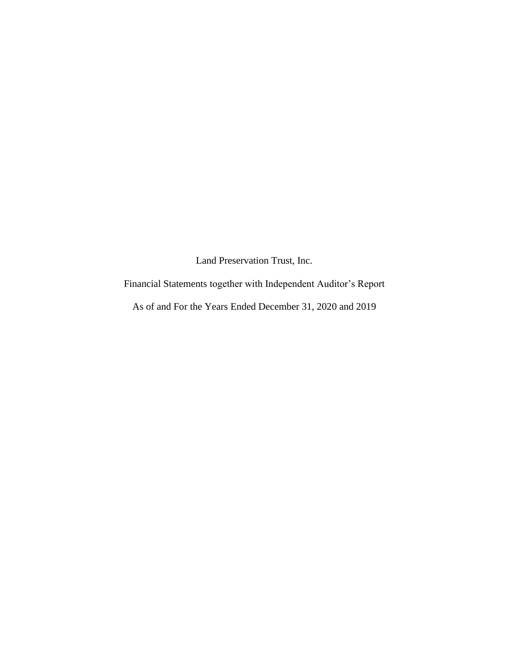Land Preservation Trust, Inc.

Financial Statements together with Independent Auditor's Report As of and For the Years Ended December 31, 2020 and 2019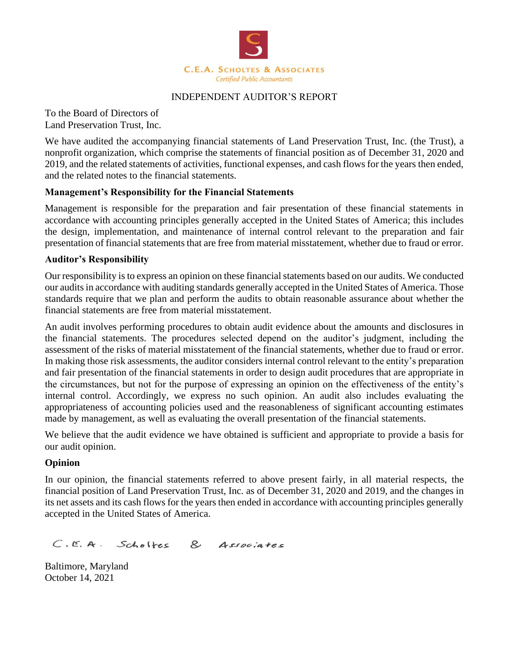

## INDEPENDENT AUDITOR'S REPORT

To the Board of Directors of Land Preservation Trust, Inc.

We have audited the accompanying financial statements of Land Preservation Trust, Inc. (the Trust), a nonprofit organization, which comprise the statements of financial position as of December 31, 2020 and 2019, and the related statements of activities, functional expenses, and cash flows for the years then ended, and the related notes to the financial statements.

## **Management's Responsibility for the Financial Statements**

Management is responsible for the preparation and fair presentation of these financial statements in accordance with accounting principles generally accepted in the United States of America; this includes the design, implementation, and maintenance of internal control relevant to the preparation and fair presentation of financial statements that are free from material misstatement, whether due to fraud or error.

#### **Auditor's Responsibility**

Our responsibility is to express an opinion on these financial statements based on our audits. We conducted our audits in accordance with auditing standards generally accepted in the United States of America. Those standards require that we plan and perform the audits to obtain reasonable assurance about whether the financial statements are free from material misstatement.

An audit involves performing procedures to obtain audit evidence about the amounts and disclosures in the financial statements. The procedures selected depend on the auditor's judgment, including the assessment of the risks of material misstatement of the financial statements, whether due to fraud or error. In making those risk assessments, the auditor considers internal control relevant to the entity's preparation and fair presentation of the financial statements in order to design audit procedures that are appropriate in the circumstances, but not for the purpose of expressing an opinion on the effectiveness of the entity's internal control. Accordingly, we express no such opinion. An audit also includes evaluating the appropriateness of accounting policies used and the reasonableness of significant accounting estimates made by management, as well as evaluating the overall presentation of the financial statements.

We believe that the audit evidence we have obtained is sufficient and appropriate to provide a basis for our audit opinion.

#### **Opinion**

In our opinion, the financial statements referred to above present fairly, in all material respects, the financial position of Land Preservation Trust, Inc. as of December 31, 2020 and 2019, and the changes in its net assets and its cash flows for the years then ended in accordance with accounting principles generally accepted in the United States of America.

 $C.E.A.$  Scholtes 8 Associates

Baltimore, Maryland October 14, 2021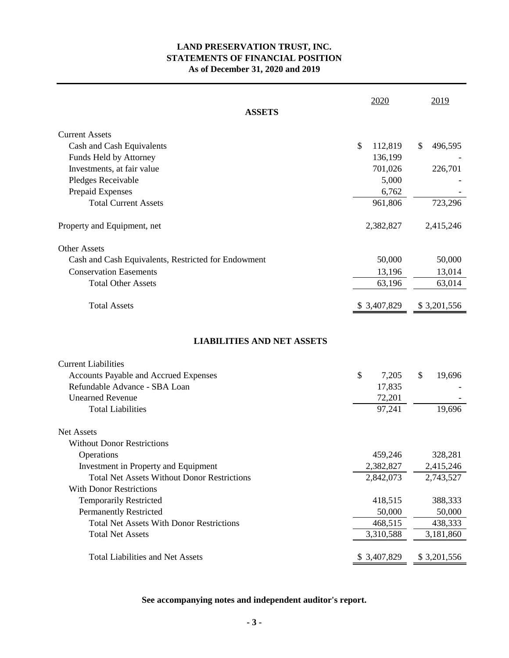## **LAND PRESERVATION TRUST, INC. STATEMENTS OF FINANCIAL POSITION As of December 31, 2020 and 2019**

| <b>ASSETS</b>                                       | 2020          | 2019          |
|-----------------------------------------------------|---------------|---------------|
|                                                     |               |               |
| <b>Current Assets</b>                               |               |               |
| Cash and Cash Equivalents                           | \$<br>112,819 | \$<br>496,595 |
| Funds Held by Attorney                              | 136,199       |               |
| Investments, at fair value                          | 701,026       | 226,701       |
| Pledges Receivable                                  | 5,000         |               |
| Prepaid Expenses                                    | 6,762         |               |
| <b>Total Current Assets</b>                         | 961,806       | 723,296       |
|                                                     |               |               |
| Property and Equipment, net                         | 2,382,827     | 2,415,246     |
|                                                     |               |               |
| <b>Other Assets</b>                                 |               |               |
| Cash and Cash Equivalents, Restricted for Endowment | 50,000        | 50,000        |
| <b>Conservation Easements</b>                       | 13,196        | 13,014        |
| <b>Total Other Assets</b>                           | 63,196        | 63,014        |
|                                                     |               |               |
| <b>Total Assets</b>                                 | \$3,407,829   | \$3,201,556   |
|                                                     |               |               |
| <b>LIABILITIES AND NET ASSETS</b>                   |               |               |
| <b>Current Liabilities</b>                          |               |               |
| Accounts Payable and Accrued Expenses               | \$<br>7,205   | \$<br>19,696  |
| Refundable Advance - SBA Loan                       | 17,835        |               |
| <b>Unearned Revenue</b>                             | 72,201        |               |
| <b>Total Liabilities</b>                            | 97,241        | 19,696        |
|                                                     |               |               |
| <b>Net Assets</b>                                   |               |               |
| <b>Without Donor Restrictions</b>                   |               |               |
| Operations                                          | 459,246       | 328,281       |
| Investment in Property and Equipment                | 2,382,827     | 2,415,246     |
| <b>Total Net Assets Without Donor Restrictions</b>  | 2,842,073     | 2,743,527     |
| <b>With Donor Restrictions</b>                      |               |               |
| <b>Temporarily Restricted</b>                       | 418,515       | 388,333       |
| <b>Permanently Restricted</b>                       | 50,000        | 50,000        |
| <b>Total Net Assets With Donor Restrictions</b>     | 468,515       | 438,333       |
| <b>Total Net Assets</b>                             | 3,310,588     | 3,181,860     |
| <b>Total Liabilities and Net Assets</b>             | \$3,407,829   | \$3,201,556   |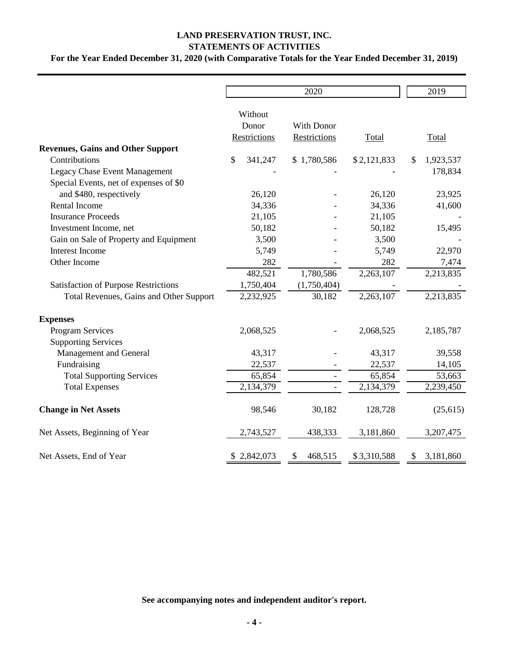#### **LAND PRESERVATION TRUST, INC. STATEMENTS OF ACTIVITIES**

**For the Year Ended December 31, 2020 (with Comparative Totals for the Year Ended December 31, 2019)**

|                                             |               | 2020                     |             | 2019                       |
|---------------------------------------------|---------------|--------------------------|-------------|----------------------------|
|                                             | Without       |                          |             |                            |
|                                             | Donor         | With Donor               |             |                            |
|                                             | Restrictions  | Restrictions             | Total       | Total                      |
| <b>Revenues, Gains and Other Support</b>    |               |                          |             |                            |
| Contributions                               | \$<br>341,247 | \$1,780,586              | \$2,121,833 | 1,923,537<br>\$            |
| <b>Legacy Chase Event Management</b>        |               |                          |             | 178,834                    |
| Special Events, net of expenses of \$0      |               |                          |             |                            |
| and \$480, respectively                     | 26,120        |                          | 26,120      | 23,925                     |
| Rental Income                               | 34,336        |                          | 34,336      | 41,600                     |
| <b>Insurance Proceeds</b>                   | 21,105        |                          | 21,105      |                            |
| Investment Income, net                      | 50,182        |                          | 50,182      | 15,495                     |
| Gain on Sale of Property and Equipment      | 3,500         |                          | 3,500       |                            |
| <b>Interest Income</b>                      | 5,749         |                          | 5,749       | 22,970                     |
| Other Income                                | 282           |                          | 282         | 7,474                      |
|                                             | 482,521       | 1,780,586                | 2,263,107   | 2,213,835                  |
| <b>Satisfaction of Purpose Restrictions</b> | 1,750,404     | (1,750,404)              |             |                            |
| Total Revenues, Gains and Other Support     | 2,232,925     | 30,182                   | 2,263,107   | 2,213,835                  |
| <b>Expenses</b>                             |               |                          |             |                            |
| Program Services                            | 2,068,525     |                          | 2,068,525   | 2,185,787                  |
| <b>Supporting Services</b>                  |               |                          |             |                            |
| Management and General                      | 43,317        |                          | 43,317      | 39,558                     |
| Fundraising                                 | 22,537        |                          | 22,537      | 14,105                     |
| <b>Total Supporting Services</b>            | 65,854        | $\overline{\phantom{0}}$ | 65,854      | 53,663                     |
| <b>Total Expenses</b>                       | 2,134,379     |                          | 2,134,379   | 2,239,450                  |
| <b>Change in Net Assets</b>                 | 98,546        | 30,182                   | 128,728     | (25, 615)                  |
| Net Assets, Beginning of Year               | 2,743,527     | 438,333                  | 3,181,860   | 3, 207, 475                |
| Net Assets, End of Year                     | \$2,842,073   | \$<br>468,515            | \$3,310,588 | 3,181,860<br><sup>\$</sup> |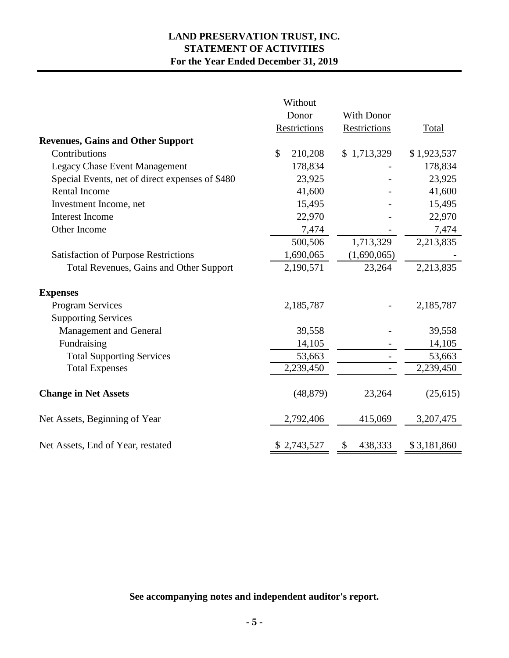# **LAND PRESERVATION TRUST, INC. STATEMENT OF ACTIVITIES For the Year Ended December 31, 2019**

|                                                 | Without       |                   |             |
|-------------------------------------------------|---------------|-------------------|-------------|
|                                                 | Donor         | <b>With Donor</b> |             |
|                                                 | Restrictions  | Restrictions      | Total       |
| <b>Revenues, Gains and Other Support</b>        |               |                   |             |
| Contributions                                   | \$<br>210,208 | \$1,713,329       | \$1,923,537 |
| <b>Legacy Chase Event Management</b>            | 178,834       |                   | 178,834     |
| Special Events, net of direct expenses of \$480 | 23,925        |                   | 23,925      |
| <b>Rental Income</b>                            | 41,600        |                   | 41,600      |
| Investment Income, net                          | 15,495        |                   | 15,495      |
| Interest Income                                 | 22,970        |                   | 22,970      |
| Other Income                                    | 7,474         |                   | 7,474       |
|                                                 | 500,506       | 1,713,329         | 2,213,835   |
| <b>Satisfaction of Purpose Restrictions</b>     | 1,690,065     | (1,690,065)       |             |
| <b>Total Revenues, Gains and Other Support</b>  | 2,190,571     | 23,264            | 2,213,835   |
| <b>Expenses</b>                                 |               |                   |             |
| <b>Program Services</b>                         | 2,185,787     |                   | 2,185,787   |
| <b>Supporting Services</b>                      |               |                   |             |
| Management and General                          | 39,558        |                   | 39,558      |
| Fundraising                                     | 14,105        |                   | 14,105      |
| <b>Total Supporting Services</b>                | 53,663        |                   | 53,663      |
| <b>Total Expenses</b>                           | 2,239,450     |                   | 2,239,450   |
| <b>Change in Net Assets</b>                     | (48, 879)     | 23,264            | (25, 615)   |
| Net Assets, Beginning of Year                   | 2,792,406     | 415,069           | 3, 207, 475 |
| Net Assets, End of Year, restated               | \$2,743,527   | \$<br>438,333     | \$3,181,860 |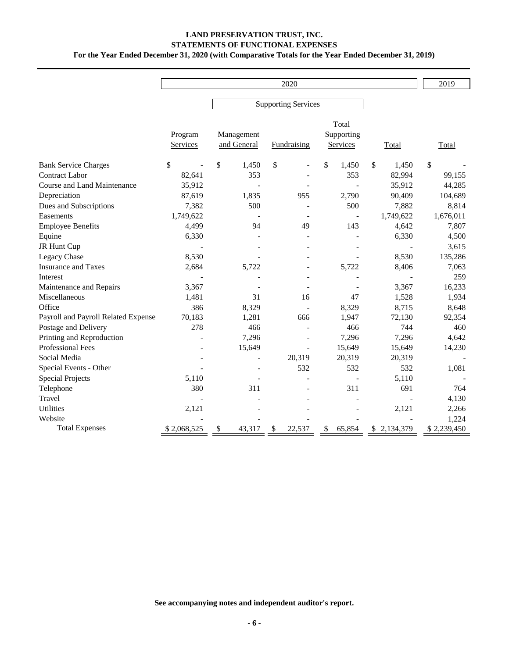#### **LAND PRESERVATION TRUST, INC. STATEMENTS OF FUNCTIONAL EXPENSES For the Year Ended December 31, 2020 (with Comparative Totals for the Year Ended December 31, 2019)**

|                                     | 2020        |                            |                |    |             |    | 2019                     |             |             |
|-------------------------------------|-------------|----------------------------|----------------|----|-------------|----|--------------------------|-------------|-------------|
|                                     |             | <b>Supporting Services</b> |                |    |             |    |                          |             |             |
|                                     |             |                            |                |    |             |    |                          |             |             |
|                                     |             |                            |                |    |             |    | Total                    |             |             |
|                                     | Program     |                            | Management     |    |             |    | Supporting               |             |             |
|                                     | Services    |                            | and General    |    | Fundraising |    | Services                 | Total       | Total       |
| <b>Bank Service Charges</b>         | \$          | \$                         | 1,450          | \$ |             | \$ | 1,450                    | \$<br>1,450 | \$          |
| <b>Contract Labor</b>               | 82,641      |                            | 353            |    |             |    | 353                      | 82,994      | 99,155      |
| <b>Course and Land Maintenance</b>  | 35,912      |                            |                |    |             |    | $\blacksquare$           | 35,912      | 44,285      |
| Depreciation                        | 87,619      |                            | 1,835          |    | 955         |    | 2,790                    | 90,409      | 104,689     |
| Dues and Subscriptions              | 7,382       |                            | 500            |    |             |    | 500                      | 7,882       | 8,814       |
| Easements                           | 1,749,622   |                            |                |    |             |    |                          | 1,749,622   | 1,676,011   |
| <b>Employee Benefits</b>            | 4,499       |                            | 94             |    | 49          |    | 143                      | 4,642       | 7,807       |
| Equine                              | 6,330       |                            |                |    |             |    |                          | 6,330       | 4,500       |
| JR Hunt Cup                         |             |                            |                |    |             |    |                          |             | 3,615       |
| Legacy Chase                        | 8,530       |                            |                |    |             |    |                          | 8,530       | 135,286     |
| <b>Insurance and Taxes</b>          | 2,684       |                            | 5,722          |    |             |    | 5,722                    | 8,406       | 7,063       |
| Interest                            |             |                            |                |    |             |    | $\blacksquare$           |             | 259         |
| Maintenance and Repairs             | 3,367       |                            |                |    |             |    | $\overline{\phantom{a}}$ | 3,367       | 16,233      |
| Miscellaneous                       | 1,481       |                            | 31             |    | 16          |    | 47                       | 1,528       | 1,934       |
| Office                              | 386         |                            | 8,329          |    |             |    | 8,329                    | 8,715       | 8,648       |
| Payroll and Payroll Related Expense | 70,183      |                            | 1,281          |    | 666         |    | 1,947                    | 72,130      | 92,354      |
| Postage and Delivery                | 278         |                            | 466            |    |             |    | 466                      | 744         | 460         |
| Printing and Reproduction           |             |                            | 7,296          |    |             |    | 7,296                    | 7,296       | 4,642       |
| Professional Fees                   |             |                            | 15,649         |    |             |    | 15,649                   | 15,649      | 14,230      |
| Social Media                        |             |                            | $\overline{a}$ |    | 20,319      |    | 20,319                   | 20,319      |             |
| Special Events - Other              |             |                            |                |    | 532         |    | 532                      | 532         | 1,081       |
| <b>Special Projects</b>             | 5,110       |                            |                |    |             |    |                          | 5,110       |             |
| Telephone                           | 380         |                            | 311            |    |             |    | 311                      | 691         | 764         |
| Travel                              |             |                            |                |    |             |    |                          |             | 4,130       |
| Utilities                           | 2,121       |                            |                |    |             |    |                          | 2,121       | 2,266       |
| Website                             |             |                            |                |    |             |    |                          |             | 1,224       |
| <b>Total Expenses</b>               | \$2,068,525 | \$                         | 43,317         | \$ | 22,537      | \$ | 65,854                   | \$2,134,379 | \$2,239,450 |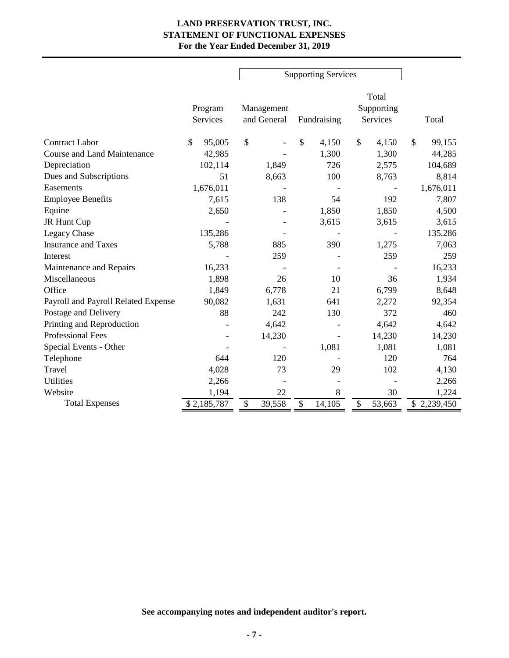## **LAND PRESERVATION TRUST, INC. STATEMENT OF FUNCTIONAL EXPENSES For the Year Ended December 31, 2019**

|                                     |                     | <b>Supporting Services</b> |                          |                                 |                         |
|-------------------------------------|---------------------|----------------------------|--------------------------|---------------------------------|-------------------------|
|                                     | Program<br>Services | Management<br>and General  | <b>Fundraising</b>       | Total<br>Supporting<br>Services | Total                   |
| Contract Labor                      | \$<br>95,005        | \$                         | \$<br>4,150              | \$<br>4,150                     | $\mathcal{S}$<br>99,155 |
| <b>Course and Land Maintenance</b>  | 42,985              |                            | 1,300                    | 1,300                           | 44,285                  |
| Depreciation                        | 102,114             | 1,849                      | 726                      | 2,575                           | 104,689                 |
| Dues and Subscriptions              | 51                  | 8,663                      | 100                      | 8,763                           | 8,814                   |
| Easements                           | 1,676,011           |                            | $\overline{\phantom{a}}$ |                                 | 1,676,011               |
| <b>Employee Benefits</b>            | 7,615               | 138                        | 54                       | 192                             | 7,807                   |
| Equine                              | 2,650               |                            | 1,850                    | 1,850                           | 4,500                   |
| JR Hunt Cup                         |                     |                            | 3,615                    | 3,615                           | 3,615                   |
| Legacy Chase                        | 135,286             |                            |                          |                                 | 135,286                 |
| <b>Insurance and Taxes</b>          | 5,788               | 885                        | 390                      | 1,275                           | 7,063                   |
| Interest                            |                     | 259                        |                          | 259                             | 259                     |
| Maintenance and Repairs             | 16,233              |                            |                          |                                 | 16,233                  |
| Miscellaneous                       | 1,898               | 26                         | 10                       | 36                              | 1,934                   |
| Office                              | 1,849               | 6,778                      | 21                       | 6,799                           | 8,648                   |
| Payroll and Payroll Related Expense | 90,082              | 1,631                      | 641                      | 2,272                           | 92,354                  |
| Postage and Delivery                | 88                  | 242                        | 130                      | 372                             | 460                     |
| Printing and Reproduction           |                     | 4,642                      |                          | 4,642                           | 4,642                   |
| <b>Professional Fees</b>            |                     | 14,230                     |                          | 14,230                          | 14,230                  |
| Special Events - Other              |                     |                            | 1,081                    | 1,081                           | 1,081                   |
| Telephone                           | 644                 | 120                        |                          | 120                             | 764                     |
| Travel                              | 4,028               | 73                         | 29                       | 102                             | 4,130                   |
| <b>Utilities</b>                    | 2,266               | $\overline{\phantom{a}}$   |                          |                                 | 2,266                   |
| Website                             | 1,194               | 22                         | 8                        | 30                              | 1,224                   |
| <b>Total Expenses</b>               | \$2,185,787         | \$<br>39,558               | \$<br>14,105             | \$<br>53,663                    | \$2,239,450             |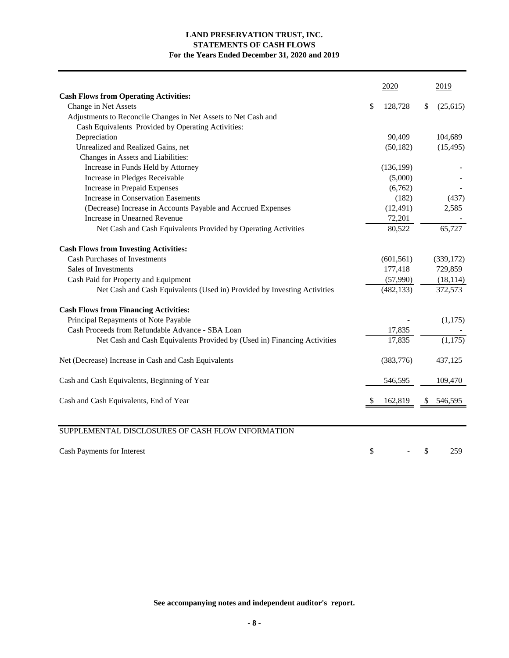#### **LAND PRESERVATION TRUST, INC. STATEMENTS OF CASH FLOWS For the Years Ended December 31, 2020 and 2019**

|                                                                          |          | 2020       |     | 2019       |
|--------------------------------------------------------------------------|----------|------------|-----|------------|
| <b>Cash Flows from Operating Activities:</b>                             |          |            |     |            |
| Change in Net Assets                                                     | \$       | 128,728    | \$  | (25, 615)  |
| Adjustments to Reconcile Changes in Net Assets to Net Cash and           |          |            |     |            |
| Cash Equivalents Provided by Operating Activities:                       |          |            |     |            |
| Depreciation                                                             |          | 90,409     |     | 104,689    |
| Unrealized and Realized Gains, net                                       |          | (50, 182)  |     | (15, 495)  |
| Changes in Assets and Liabilities:                                       |          |            |     |            |
| Increase in Funds Held by Attorney                                       |          | (136, 199) |     |            |
| Increase in Pledges Receivable                                           |          | (5,000)    |     |            |
| Increase in Prepaid Expenses                                             |          | (6,762)    |     |            |
| <b>Increase in Conservation Easements</b>                                |          | (182)      |     | (437)      |
| (Decrease) Increase in Accounts Payable and Accrued Expenses             |          | (12, 491)  |     | 2,585      |
| Increase in Unearned Revenue                                             |          | 72,201     |     |            |
| Net Cash and Cash Equivalents Provided by Operating Activities           |          | 80,522     |     | 65,727     |
| <b>Cash Flows from Investing Activities:</b>                             |          |            |     |            |
| <b>Cash Purchases of Investments</b>                                     |          | (601, 561) |     | (339, 172) |
| Sales of Investments                                                     |          | 177,418    |     | 729,859    |
| Cash Paid for Property and Equipment                                     |          | (57,990)   |     | (18, 114)  |
| Net Cash and Cash Equivalents (Used in) Provided by Investing Activities |          | (482, 133) |     | 372,573    |
| <b>Cash Flows from Financing Activities:</b>                             |          |            |     |            |
| Principal Repayments of Note Payable                                     |          |            |     | (1,175)    |
| Cash Proceeds from Refundable Advance - SBA Loan                         |          | 17,835     |     |            |
| Net Cash and Cash Equivalents Provided by (Used in) Financing Activities |          | 17,835     |     | (1, 175)   |
| Net (Decrease) Increase in Cash and Cash Equivalents                     |          | (383,776)  |     | 437,125    |
| Cash and Cash Equivalents, Beginning of Year                             |          | 546,595    |     | 109,470    |
| Cash and Cash Equivalents, End of Year                                   | <b>S</b> | 162,819    | \$. | 546,595    |
|                                                                          |          |            |     |            |
| SUPPLEMENTAL DISCLOSURES OF CASH FLOW INFORMATION                        |          |            |     |            |
| Cash Payments for Interest                                               | \$       |            | \$  | 259        |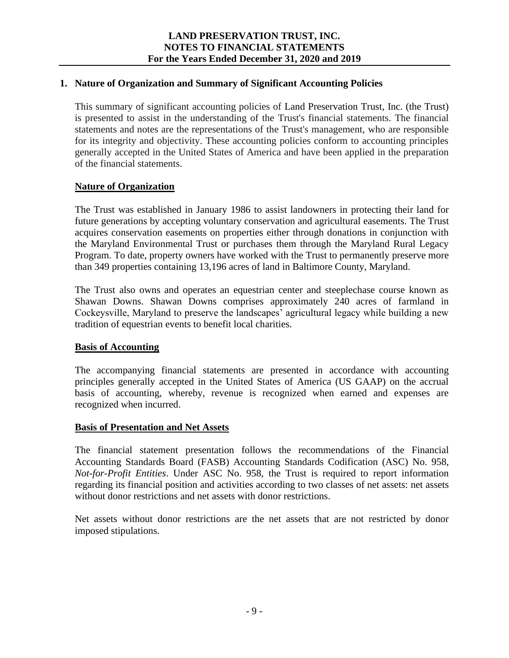This summary of significant accounting policies of Land Preservation Trust, Inc. (the Trust) is presented to assist in the understanding of the Trust's financial statements. The financial statements and notes are the representations of the Trust's management, who are responsible for its integrity and objectivity. These accounting policies conform to accounting principles generally accepted in the United States of America and have been applied in the preparation of the financial statements.

# **Nature of Organization**

The Trust was established in January 1986 to assist landowners in protecting their land for future generations by accepting voluntary conservation and agricultural easements. The Trust acquires conservation easements on properties either through donations in conjunction with the Maryland Environmental Trust or purchases them through the Maryland Rural Legacy Program. To date, property owners have worked with the Trust to permanently preserve more than 349 properties containing 13,196 acres of land in Baltimore County, Maryland.

The Trust also owns and operates an equestrian center and steeplechase course known as Shawan Downs. Shawan Downs comprises approximately 240 acres of farmland in Cockeysville, Maryland to preserve the landscapes' agricultural legacy while building a new tradition of equestrian events to benefit local charities.

#### **Basis of Accounting**

The accompanying financial statements are presented in accordance with accounting principles generally accepted in the United States of America (US GAAP) on the accrual basis of accounting, whereby, revenue is recognized when earned and expenses are recognized when incurred.

#### **Basis of Presentation and Net Assets**

The financial statement presentation follows the recommendations of the Financial Accounting Standards Board (FASB) Accounting Standards Codification (ASC) No. 958, *Not-for-Profit Entities*. Under ASC No. 958, the Trust is required to report information regarding its financial position and activities according to two classes of net assets: net assets without donor restrictions and net assets with donor restrictions.

Net assets without donor restrictions are the net assets that are not restricted by donor imposed stipulations.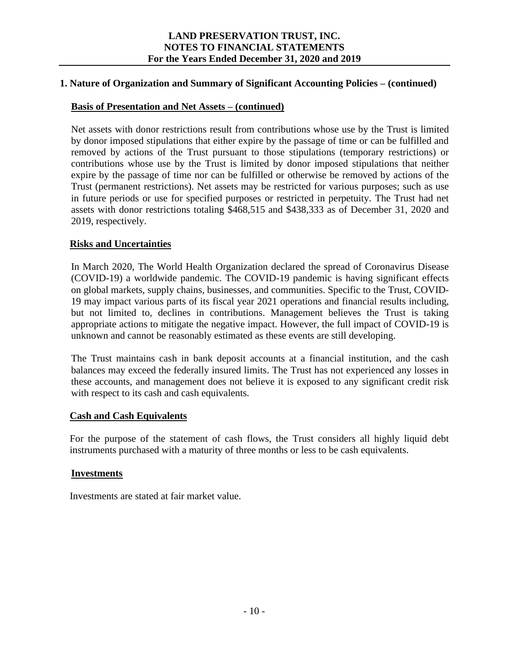## **Basis of Presentation and Net Assets – (continued)**

Net assets with donor restrictions result from contributions whose use by the Trust is limited by donor imposed stipulations that either expire by the passage of time or can be fulfilled and removed by actions of the Trust pursuant to those stipulations (temporary restrictions) or contributions whose use by the Trust is limited by donor imposed stipulations that neither expire by the passage of time nor can be fulfilled or otherwise be removed by actions of the Trust (permanent restrictions). Net assets may be restricted for various purposes; such as use in future periods or use for specified purposes or restricted in perpetuity. The Trust had net assets with donor restrictions totaling \$468,515 and \$438,333 as of December 31, 2020 and 2019, respectively.

# **Risks and Uncertainties**

In March 2020, The World Health Organization declared the spread of Coronavirus Disease (COVID-19) a worldwide pandemic. The COVID-19 pandemic is having significant effects on global markets, supply chains, businesses, and communities. Specific to the Trust, COVID-19 may impact various parts of its fiscal year 2021 operations and financial results including, but not limited to, declines in contributions. Management believes the Trust is taking appropriate actions to mitigate the negative impact. However, the full impact of COVID-19 is unknown and cannot be reasonably estimated as these events are still developing.

The Trust maintains cash in bank deposit accounts at a financial institution, and the cash balances may exceed the federally insured limits. The Trust has not experienced any losses in these accounts, and management does not believe it is exposed to any significant credit risk with respect to its cash and cash equivalents.

#### **Cash and Cash Equivalents**

For the purpose of the statement of cash flows, the Trust considers all highly liquid debt instruments purchased with a maturity of three months or less to be cash equivalents.

#### **Investments**

Investments are stated at fair market value.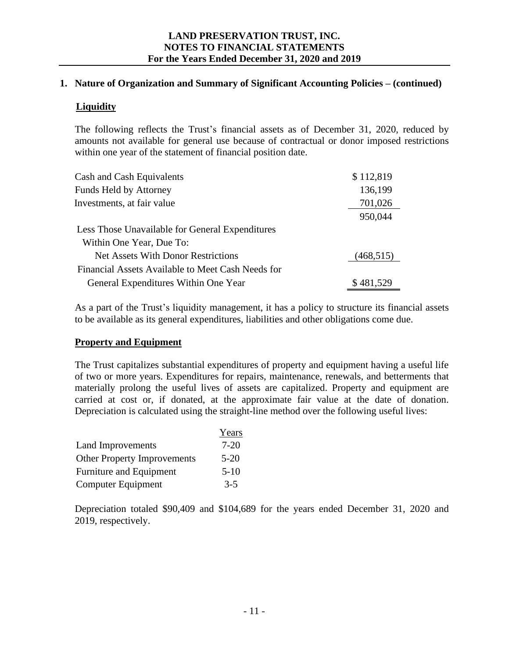## **Liquidity**

The following reflects the Trust's financial assets as of December 31, 2020, reduced by amounts not available for general use because of contractual or donor imposed restrictions within one year of the statement of financial position date.

| Cash and Cash Equivalents                         | \$112,819  |
|---------------------------------------------------|------------|
| Funds Held by Attorney                            | 136,199    |
| Investments, at fair value                        | 701,026    |
|                                                   | 950,044    |
| Less Those Unavailable for General Expenditures   |            |
| Within One Year, Due To:                          |            |
| <b>Net Assets With Donor Restrictions</b>         | (468, 515) |
| Financial Assets Available to Meet Cash Needs for |            |
| General Expenditures Within One Year              | \$481,529  |

As a part of the Trust's liquidity management, it has a policy to structure its financial assets to be available as its general expenditures, liabilities and other obligations come due.

# **Property and Equipment**

The Trust capitalizes substantial expenditures of property and equipment having a useful life of two or more years. Expenditures for repairs, maintenance, renewals, and betterments that materially prolong the useful lives of assets are capitalized. Property and equipment are carried at cost or, if donated, at the approximate fair value at the date of donation. Depreciation is calculated using the straight-line method over the following useful lives:

|                                    | Years    |
|------------------------------------|----------|
| Land Improvements                  | $7 - 20$ |
| <b>Other Property Improvements</b> | $5 - 20$ |
| Furniture and Equipment            | $5 - 10$ |
| <b>Computer Equipment</b>          | $3-5$    |

Depreciation totaled \$90,409 and \$104,689 for the years ended December 31, 2020 and 2019, respectively.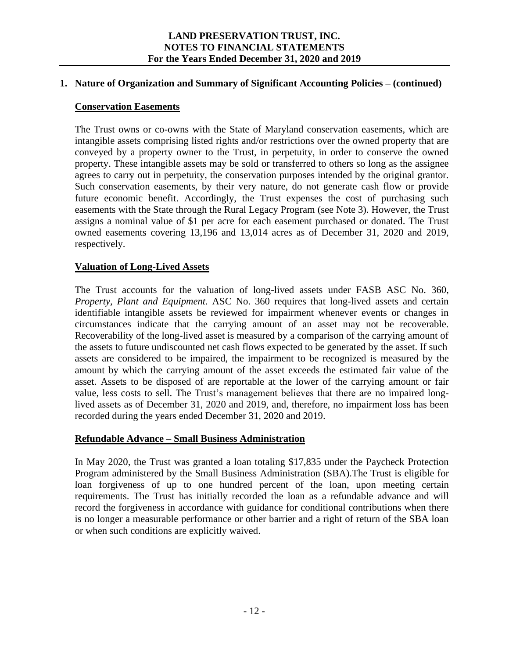## **Conservation Easements**

The Trust owns or co-owns with the State of Maryland conservation easements, which are intangible assets comprising listed rights and/or restrictions over the owned property that are conveyed by a property owner to the Trust, in perpetuity, in order to conserve the owned property. These intangible assets may be sold or transferred to others so long as the assignee agrees to carry out in perpetuity, the conservation purposes intended by the original grantor. Such conservation easements, by their very nature, do not generate cash flow or provide future economic benefit. Accordingly, the Trust expenses the cost of purchasing such easements with the State through the Rural Legacy Program (see Note 3). However, the Trust assigns a nominal value of \$1 per acre for each easement purchased or donated. The Trust owned easements covering 13,196 and 13,014 acres as of December 31, 2020 and 2019, respectively.

# **Valuation of Long-Lived Assets**

The Trust accounts for the valuation of long-lived assets under FASB ASC No. 360, *Property, Plant and Equipment.* ASC No. 360 requires that long-lived assets and certain identifiable intangible assets be reviewed for impairment whenever events or changes in circumstances indicate that the carrying amount of an asset may not be recoverable. Recoverability of the long-lived asset is measured by a comparison of the carrying amount of the assets to future undiscounted net cash flows expected to be generated by the asset. If such assets are considered to be impaired, the impairment to be recognized is measured by the amount by which the carrying amount of the asset exceeds the estimated fair value of the asset. Assets to be disposed of are reportable at the lower of the carrying amount or fair value, less costs to sell. The Trust's management believes that there are no impaired longlived assets as of December 31, 2020 and 2019, and, therefore, no impairment loss has been recorded during the years ended December 31, 2020 and 2019.

#### **Refundable Advance – Small Business Administration**

In May 2020, the Trust was granted a loan totaling \$17,835 under the Paycheck Protection Program administered by the Small Business Administration (SBA).The Trust is eligible for loan forgiveness of up to one hundred percent of the loan, upon meeting certain requirements. The Trust has initially recorded the loan as a refundable advance and will record the forgiveness in accordance with guidance for conditional contributions when there is no longer a measurable performance or other barrier and a right of return of the SBA loan or when such conditions are explicitly waived.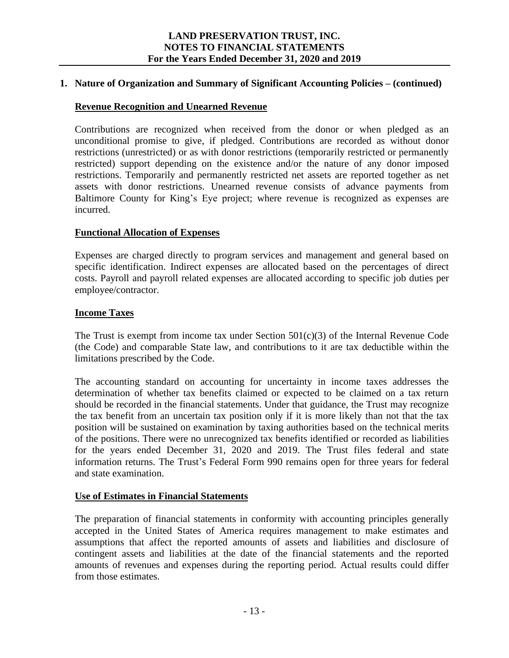# **Revenue Recognition and Unearned Revenue**

Contributions are recognized when received from the donor or when pledged as an unconditional promise to give, if pledged. Contributions are recorded as without donor restrictions (unrestricted) or as with donor restrictions (temporarily restricted or permanently restricted) support depending on the existence and/or the nature of any donor imposed restrictions. Temporarily and permanently restricted net assets are reported together as net assets with donor restrictions. Unearned revenue consists of advance payments from Baltimore County for King's Eye project; where revenue is recognized as expenses are incurred.

## **Functional Allocation of Expenses**

Expenses are charged directly to program services and management and general based on specific identification. Indirect expenses are allocated based on the percentages of direct costs. Payroll and payroll related expenses are allocated according to specific job duties per employee/contractor.

## **Income Taxes**

The Trust is exempt from income tax under Section  $501(c)(3)$  of the Internal Revenue Code (the Code) and comparable State law, and contributions to it are tax deductible within the limitations prescribed by the Code.

The accounting standard on accounting for uncertainty in income taxes addresses the determination of whether tax benefits claimed or expected to be claimed on a tax return should be recorded in the financial statements. Under that guidance, the Trust may recognize the tax benefit from an uncertain tax position only if it is more likely than not that the tax position will be sustained on examination by taxing authorities based on the technical merits of the positions. There were no unrecognized tax benefits identified or recorded as liabilities for the years ended December 31, 2020 and 2019. The Trust files federal and state information returns. The Trust's Federal Form 990 remains open for three years for federal and state examination.

#### **Use of Estimates in Financial Statements**

The preparation of financial statements in conformity with accounting principles generally accepted in the United States of America requires management to make estimates and assumptions that affect the reported amounts of assets and liabilities and disclosure of contingent assets and liabilities at the date of the financial statements and the reported amounts of revenues and expenses during the reporting period. Actual results could differ from those estimates.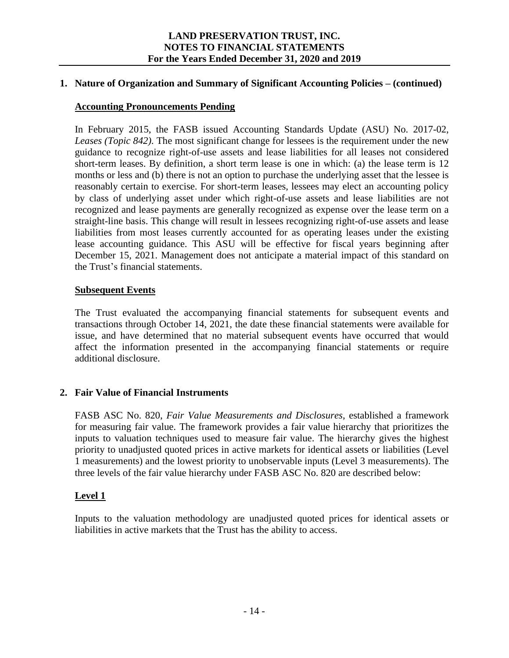## **Accounting Pronouncements Pending**

In February 2015, the FASB issued Accounting Standards Update (ASU) No. 2017-02, *Leases (Topic 842).* The most significant change for lessees is the requirement under the new guidance to recognize right-of-use assets and lease liabilities for all leases not considered short-term leases. By definition, a short term lease is one in which: (a) the lease term is 12 months or less and (b) there is not an option to purchase the underlying asset that the lessee is reasonably certain to exercise. For short-term leases, lessees may elect an accounting policy by class of underlying asset under which right-of-use assets and lease liabilities are not recognized and lease payments are generally recognized as expense over the lease term on a straight-line basis. This change will result in lessees recognizing right-of-use assets and lease liabilities from most leases currently accounted for as operating leases under the existing lease accounting guidance. This ASU will be effective for fiscal years beginning after December 15, 2021. Management does not anticipate a material impact of this standard on the Trust's financial statements.

## **Subsequent Events**

The Trust evaluated the accompanying financial statements for subsequent events and transactions through October 14, 2021, the date these financial statements were available for issue, and have determined that no material subsequent events have occurred that would affect the information presented in the accompanying financial statements or require additional disclosure.

# **2. Fair Value of Financial Instruments**

FASB ASC No. 820, *Fair Value Measurements and Disclosures*, established a framework for measuring fair value. The framework provides a fair value hierarchy that prioritizes the inputs to valuation techniques used to measure fair value. The hierarchy gives the highest priority to unadjusted quoted prices in active markets for identical assets or liabilities (Level 1 measurements) and the lowest priority to unobservable inputs (Level 3 measurements). The three levels of the fair value hierarchy under FASB ASC No. 820 are described below:

#### **Level 1**

Inputs to the valuation methodology are unadjusted quoted prices for identical assets or liabilities in active markets that the Trust has the ability to access.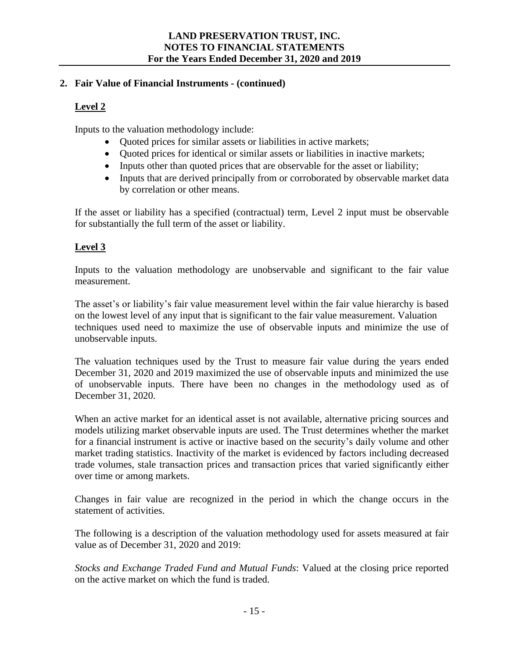# **2. Fair Value of Financial Instruments - (continued)**

# **Level 2**

Inputs to the valuation methodology include:

- Quoted prices for similar assets or liabilities in active markets;
- Quoted prices for identical or similar assets or liabilities in inactive markets;
- Inputs other than quoted prices that are observable for the asset or liability;
- Inputs that are derived principally from or corroborated by observable market data by correlation or other means.

If the asset or liability has a specified (contractual) term, Level 2 input must be observable for substantially the full term of the asset or liability.

# **Level 3**

Inputs to the valuation methodology are unobservable and significant to the fair value measurement.

The asset's or liability's fair value measurement level within the fair value hierarchy is based on the lowest level of any input that is significant to the fair value measurement. Valuation techniques used need to maximize the use of observable inputs and minimize the use of unobservable inputs.

The valuation techniques used by the Trust to measure fair value during the years ended December 31, 2020 and 2019 maximized the use of observable inputs and minimized the use of unobservable inputs. There have been no changes in the methodology used as of December 31, 2020.

When an active market for an identical asset is not available, alternative pricing sources and models utilizing market observable inputs are used. The Trust determines whether the market for a financial instrument is active or inactive based on the security's daily volume and other market trading statistics. Inactivity of the market is evidenced by factors including decreased trade volumes, stale transaction prices and transaction prices that varied significantly either over time or among markets.

Changes in fair value are recognized in the period in which the change occurs in the statement of activities.

The following is a description of the valuation methodology used for assets measured at fair value as of December 31, 2020 and 2019:

*Stocks and Exchange Traded Fund and Mutual Funds*: Valued at the closing price reported on the active market on which the fund is traded.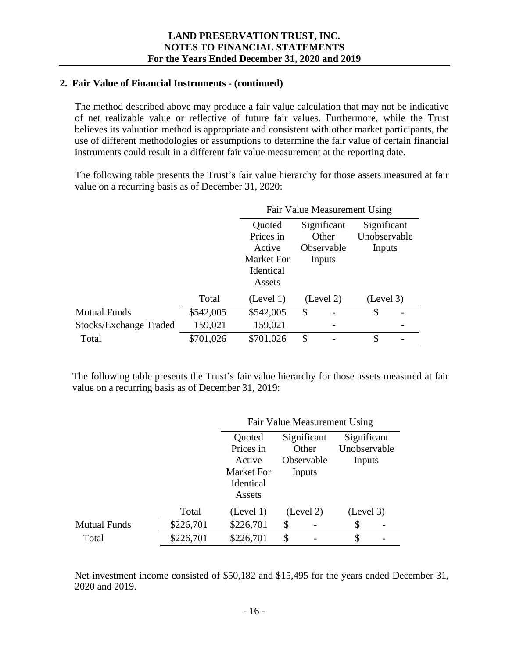## **2. Fair Value of Financial Instruments - (continued)**

The method described above may produce a fair value calculation that may not be indicative of net realizable value or reflective of future fair values. Furthermore, while the Trust believes its valuation method is appropriate and consistent with other market participants, the use of different methodologies or assumptions to determine the fair value of certain financial instruments could result in a different fair value measurement at the reporting date.

The following table presents the Trust's fair value hierarchy for those assets measured at fair value on a recurring basis as of December 31, 2020:

|                        |           | Fair Value Measurement Using         |            |           |  |  |
|------------------------|-----------|--------------------------------------|------------|-----------|--|--|
|                        |           | Significant<br>Significant<br>Quoted |            |           |  |  |
|                        |           | Prices in                            | Other      |           |  |  |
|                        |           | Active                               | Observable | Inputs    |  |  |
|                        |           | <b>Market For</b>                    | Inputs     |           |  |  |
|                        |           | Identical                            |            |           |  |  |
|                        |           | Assets                               |            |           |  |  |
|                        | Total     | (Level 1)                            | (Level 2)  | (Level 3) |  |  |
| <b>Mutual Funds</b>    | \$542,005 | \$542,005                            | \$         | \$        |  |  |
| Stocks/Exchange Traded | 159,021   | 159,021                              |            |           |  |  |
| Total                  | \$701,026 | \$701,026                            | \$         | \$        |  |  |

The following table presents the Trust's fair value hierarchy for those assets measured at fair value on a recurring basis as of December 31, 2019:

|                     |           |                   | Fair Value Measurement Using |             |  |  |  |
|---------------------|-----------|-------------------|------------------------------|-------------|--|--|--|
|                     |           | Quoted            | Significant                  | Significant |  |  |  |
|                     |           | Prices in         | Other                        |             |  |  |  |
|                     |           | Active            | Observable                   | Inputs      |  |  |  |
|                     |           | <b>Market For</b> | Inputs                       |             |  |  |  |
|                     |           | Identical         |                              |             |  |  |  |
|                     |           | Assets            |                              |             |  |  |  |
|                     | Total     | (Level 1)         | (Level 2)                    | (Level 3)   |  |  |  |
| <b>Mutual Funds</b> | \$226,701 | \$226,701         | \$                           | \$          |  |  |  |
| Total               | \$226,701 | \$226,701         | \$                           | \$          |  |  |  |

Net investment income consisted of \$50,182 and \$15,495 for the years ended December 31, 2020 and 2019.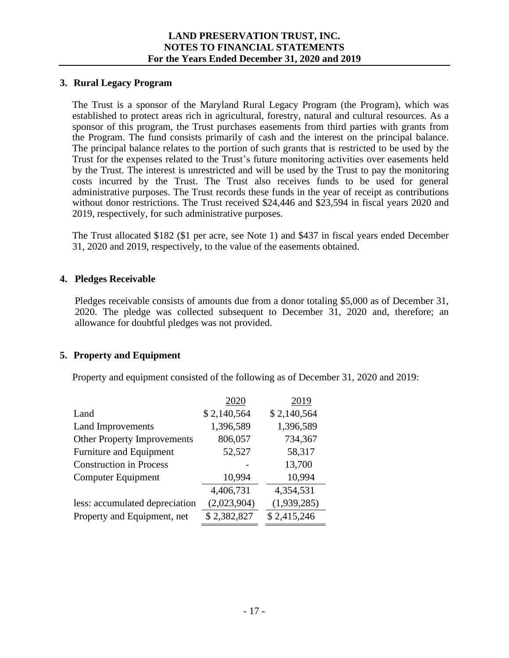#### **3. Rural Legacy Program**

The Trust is a sponsor of the Maryland Rural Legacy Program (the Program), which was established to protect areas rich in agricultural, forestry, natural and cultural resources. As a sponsor of this program, the Trust purchases easements from third parties with grants from the Program. The fund consists primarily of cash and the interest on the principal balance. The principal balance relates to the portion of such grants that is restricted to be used by the Trust for the expenses related to the Trust's future monitoring activities over easements held by the Trust. The interest is unrestricted and will be used by the Trust to pay the monitoring costs incurred by the Trust. The Trust also receives funds to be used for general administrative purposes. The Trust records these funds in the year of receipt as contributions without donor restrictions. The Trust received \$24,446 and \$23,594 in fiscal years 2020 and 2019, respectively, for such administrative purposes.

The Trust allocated \$182 (\$1 per acre, see Note 1) and \$437 in fiscal years ended December 31, 2020 and 2019, respectively, to the value of the easements obtained.

# **4. Pledges Receivable**

Pledges receivable consists of amounts due from a donor totaling \$5,000 as of December 31, 2020. The pledge was collected subsequent to December 31, 2020 and, therefore; an allowance for doubtful pledges was not provided.

# **5. Property and Equipment**

Property and equipment consisted of the following as of December 31, 2020 and 2019:

|                                    | 2020        | 2019        |
|------------------------------------|-------------|-------------|
| Land                               | \$2,140,564 | \$2,140,564 |
| <b>Land Improvements</b>           | 1,396,589   | 1,396,589   |
| <b>Other Property Improvements</b> | 806,057     | 734,367     |
| Furniture and Equipment            | 52,527      | 58,317      |
| <b>Construction in Process</b>     |             | 13,700      |
| Computer Equipment                 | 10,994      | 10,994      |
|                                    | 4,406,731   | 4,354,531   |
| less: accumulated depreciation     | (2,023,904) | (1,939,285) |
| Property and Equipment, net        | \$2,382,827 | \$2,415,246 |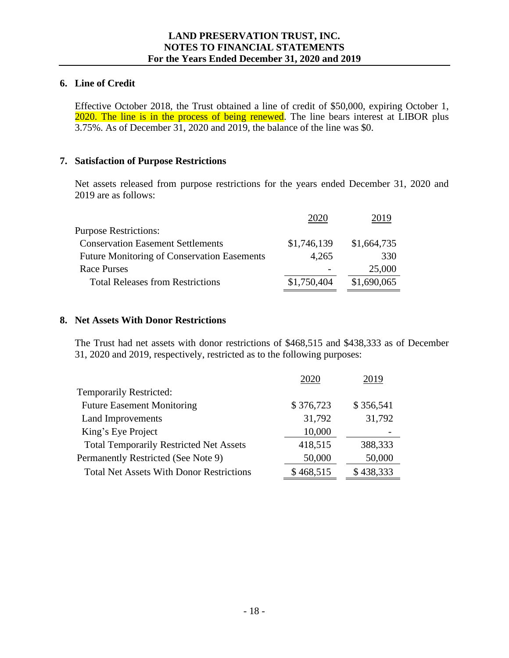## **6. Line of Credit**

Effective October 2018, the Trust obtained a line of credit of \$50,000, expiring October 1, 2020. The line is in the process of being renewed. The line bears interest at LIBOR plus 3.75%. As of December 31, 2020 and 2019, the balance of the line was \$0.

## **7. Satisfaction of Purpose Restrictions**

Net assets released from purpose restrictions for the years ended December 31, 2020 and 2019 are as follows:

|                                                    |             | 2019        |
|----------------------------------------------------|-------------|-------------|
| <b>Purpose Restrictions:</b>                       |             |             |
| <b>Conservation Easement Settlements</b>           | \$1,746,139 | \$1,664,735 |
| <b>Future Monitoring of Conservation Easements</b> | 4,265       | 330         |
| Race Purses                                        |             | 25,000      |
| <b>Total Releases from Restrictions</b>            | \$1,750,404 | \$1,690,065 |

## **8. Net Assets With Donor Restrictions**

The Trust had net assets with donor restrictions of \$468,515 and \$438,333 as of December 31, 2020 and 2019, respectively, restricted as to the following purposes:

|                                                 | 2020      | 2019      |
|-------------------------------------------------|-----------|-----------|
| <b>Temporarily Restricted:</b>                  |           |           |
| <b>Future Easement Monitoring</b>               | \$376,723 | \$356,541 |
| Land Improvements                               | 31,792    | 31,792    |
| King's Eye Project                              | 10,000    |           |
| <b>Total Temporarily Restricted Net Assets</b>  | 418,515   | 388,333   |
| Permanently Restricted (See Note 9)             | 50,000    | 50,000    |
| <b>Total Net Assets With Donor Restrictions</b> | \$468,515 | \$438,333 |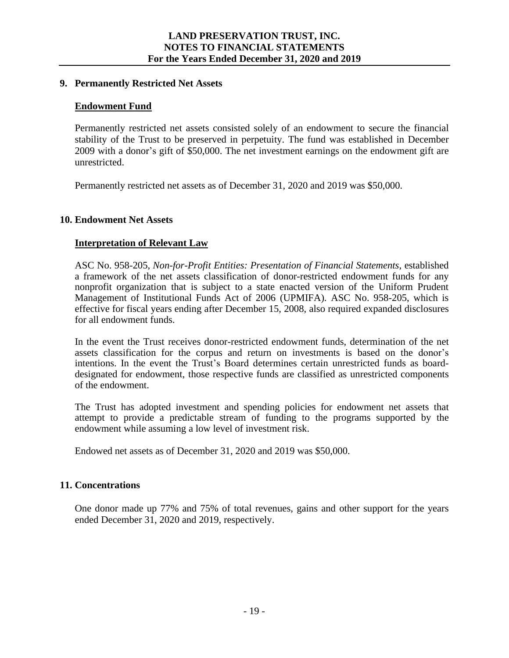#### **9. Permanently Restricted Net Assets**

#### **Endowment Fund**

Permanently restricted net assets consisted solely of an endowment to secure the financial stability of the Trust to be preserved in perpetuity. The fund was established in December 2009 with a donor's gift of \$50,000. The net investment earnings on the endowment gift are unrestricted.

Permanently restricted net assets as of December 31, 2020 and 2019 was \$50,000.

#### **10. Endowment Net Assets**

#### **Interpretation of Relevant Law**

ASC No. 958-205, *Non-for-Profit Entities: Presentation of Financial Statements*, established a framework of the net assets classification of donor-restricted endowment funds for any nonprofit organization that is subject to a state enacted version of the Uniform Prudent Management of Institutional Funds Act of 2006 (UPMIFA). ASC No. 958-205, which is effective for fiscal years ending after December 15, 2008, also required expanded disclosures for all endowment funds.

In the event the Trust receives donor-restricted endowment funds, determination of the net assets classification for the corpus and return on investments is based on the donor's intentions. In the event the Trust's Board determines certain unrestricted funds as boarddesignated for endowment, those respective funds are classified as unrestricted components of the endowment.

The Trust has adopted investment and spending policies for endowment net assets that attempt to provide a predictable stream of funding to the programs supported by the endowment while assuming a low level of investment risk.

Endowed net assets as of December 31, 2020 and 2019 was \$50,000.

#### **11. Concentrations**

One donor made up 77% and 75% of total revenues, gains and other support for the years ended December 31, 2020 and 2019, respectively.